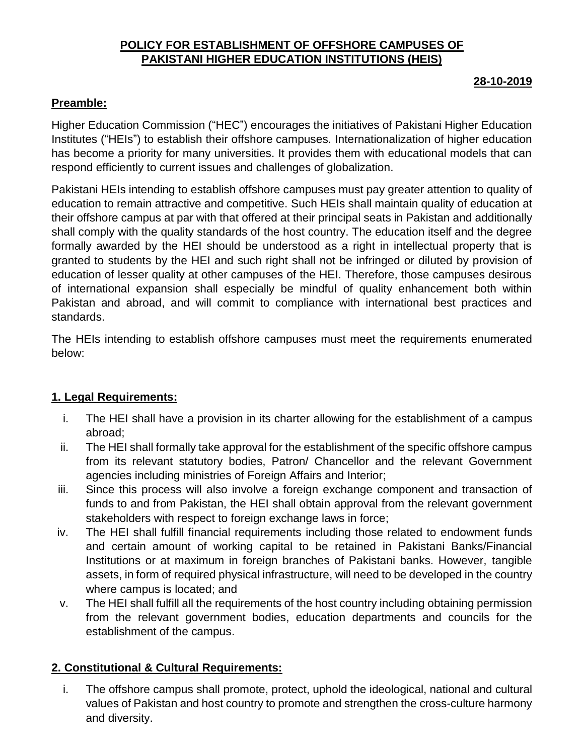# **POLICY FOR ESTABLISHMENT OF OFFSHORE CAMPUSES OF PAKISTANI HIGHER EDUCATION INSTITUTIONS (HEIS)**

### **28-10-2019**

# **Preamble:**

Higher Education Commission ("HEC") encourages the initiatives of Pakistani Higher Education Institutes ("HEIs") to establish their offshore campuses. Internationalization of higher education has become a priority for many universities. It provides them with educational models that can respond efficiently to current issues and challenges of globalization.

Pakistani HEIs intending to establish offshore campuses must pay greater attention to quality of education to remain attractive and competitive. Such HEIs shall maintain quality of education at their offshore campus at par with that offered at their principal seats in Pakistan and additionally shall comply with the quality standards of the host country. The education itself and the degree formally awarded by the HEI should be understood as a right in intellectual property that is granted to students by the HEI and such right shall not be infringed or diluted by provision of education of lesser quality at other campuses of the HEI. Therefore, those campuses desirous of international expansion shall especially be mindful of quality enhancement both within Pakistan and abroad, and will commit to compliance with international best practices and standards.

The HEIs intending to establish offshore campuses must meet the requirements enumerated below:

### **1. Legal Requirements:**

- i. The HEI shall have a provision in its charter allowing for the establishment of a campus abroad;
- ii. The HEI shall formally take approval for the establishment of the specific offshore campus from its relevant statutory bodies, Patron/ Chancellor and the relevant Government agencies including ministries of Foreign Affairs and Interior;
- iii. Since this process will also involve a foreign exchange component and transaction of funds to and from Pakistan, the HEI shall obtain approval from the relevant government stakeholders with respect to foreign exchange laws in force;
- iv. The HEI shall fulfill financial requirements including those related to endowment funds and certain amount of working capital to be retained in Pakistani Banks/Financial Institutions or at maximum in foreign branches of Pakistani banks. However, tangible assets, in form of required physical infrastructure, will need to be developed in the country where campus is located; and
- v. The HEI shall fulfill all the requirements of the host country including obtaining permission from the relevant government bodies, education departments and councils for the establishment of the campus.

# **2. Constitutional & Cultural Requirements:**

i. The offshore campus shall promote, protect, uphold the ideological, national and cultural values of Pakistan and host country to promote and strengthen the cross-culture harmony and diversity.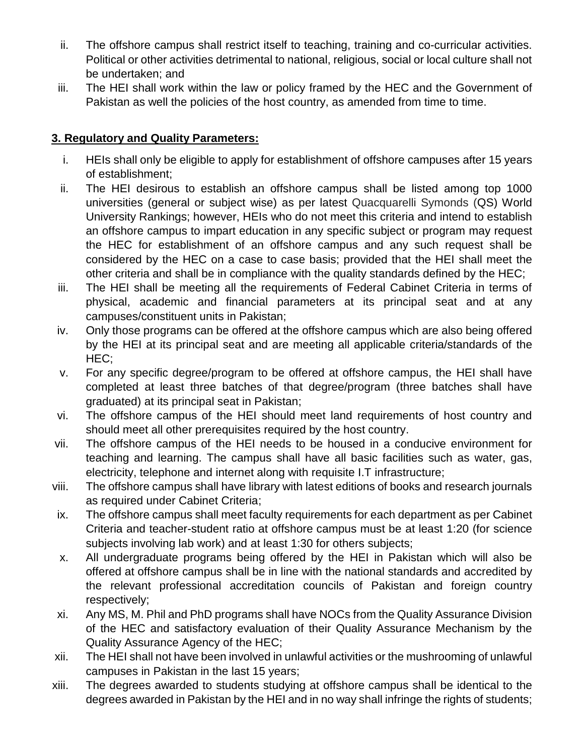- ii. The offshore campus shall restrict itself to teaching, training and co-curricular activities. Political or other activities detrimental to national, religious, social or local culture shall not be undertaken; and
- iii. The HEI shall work within the law or policy framed by the HEC and the Government of Pakistan as well the policies of the host country, as amended from time to time.

## **3. Regulatory and Quality Parameters:**

- i. HEIs shall only be eligible to apply for establishment of offshore campuses after 15 years of establishment;
- ii. The HEI desirous to establish an offshore campus shall be listed among top 1000 universities (general or subject wise) as per latest Quacquarelli Symonds (QS) World University Rankings; however, HEIs who do not meet this criteria and intend to establish an offshore campus to impart education in any specific subject or program may request the HEC for establishment of an offshore campus and any such request shall be considered by the HEC on a case to case basis; provided that the HEI shall meet the other criteria and shall be in compliance with the quality standards defined by the HEC;
- iii. The HEI shall be meeting all the requirements of Federal Cabinet Criteria in terms of physical, academic and financial parameters at its principal seat and at any campuses/constituent units in Pakistan;
- iv. Only those programs can be offered at the offshore campus which are also being offered by the HEI at its principal seat and are meeting all applicable criteria/standards of the HEC;
- v. For any specific degree/program to be offered at offshore campus, the HEI shall have completed at least three batches of that degree/program (three batches shall have graduated) at its principal seat in Pakistan;
- vi. The offshore campus of the HEI should meet land requirements of host country and should meet all other prerequisites required by the host country.
- vii. The offshore campus of the HEI needs to be housed in a conducive environment for teaching and learning. The campus shall have all basic facilities such as water, gas, electricity, telephone and internet along with requisite I.T infrastructure;
- viii. The offshore campus shall have library with latest editions of books and research journals as required under Cabinet Criteria;
- ix. The offshore campus shall meet faculty requirements for each department as per Cabinet Criteria and teacher-student ratio at offshore campus must be at least 1:20 (for science subjects involving lab work) and at least 1:30 for others subjects;
- x. All undergraduate programs being offered by the HEI in Pakistan which will also be offered at offshore campus shall be in line with the national standards and accredited by the relevant professional accreditation councils of Pakistan and foreign country respectively;
- xi. Any MS, M. Phil and PhD programs shall have NOCs from the Quality Assurance Division of the HEC and satisfactory evaluation of their Quality Assurance Mechanism by the Quality Assurance Agency of the HEC;
- xii. The HEI shall not have been involved in unlawful activities or the mushrooming of unlawful campuses in Pakistan in the last 15 years;
- xiii. The degrees awarded to students studying at offshore campus shall be identical to the degrees awarded in Pakistan by the HEI and in no way shall infringe the rights of students;